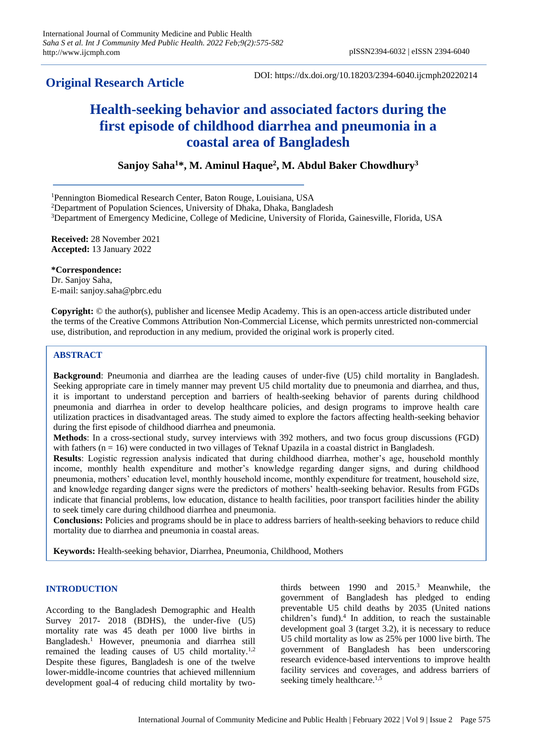# **Original Research Article**

# **Health-seeking behavior and associated factors during the first episode of childhood diarrhea and pneumonia in a coastal area of Bangladesh**

**Sanjoy Saha<sup>1</sup>\*, M. Aminul Haque<sup>2</sup> , M. Abdul Baker Chowdhury<sup>3</sup>**

<sup>1</sup>Pennington Biomedical Research Center, Baton Rouge, Louisiana, USA

<sup>2</sup>Department of Population Sciences, University of Dhaka, Dhaka, Bangladesh

<sup>3</sup>Department of Emergency Medicine, College of Medicine, University of Florida, Gainesville, Florida, USA

**Received:** 28 November 2021 **Accepted:** 13 January 2022

**\*Correspondence:** Dr. Sanjoy Saha,

E-mail: sanjoy.saha@pbrc.edu

**Copyright:** © the author(s), publisher and licensee Medip Academy. This is an open-access article distributed under the terms of the Creative Commons Attribution Non-Commercial License, which permits unrestricted non-commercial use, distribution, and reproduction in any medium, provided the original work is properly cited.

# **ABSTRACT**

**Background**: Pneumonia and diarrhea are the leading causes of under-five (U5) child mortality in Bangladesh. Seeking appropriate care in timely manner may prevent U5 child mortality due to pneumonia and diarrhea, and thus, it is important to understand perception and barriers of health-seeking behavior of parents during childhood pneumonia and diarrhea in order to develop healthcare policies, and design programs to improve health care utilization practices in disadvantaged areas. The study aimed to explore the factors affecting health-seeking behavior during the first episode of childhood diarrhea and pneumonia.

**Methods**: In a cross-sectional study, survey interviews with 392 mothers, and two focus group discussions (FGD) with fathers  $(n = 16)$  were conducted in two villages of Teknaf Upazila in a coastal district in Bangladesh.

**Results**: Logistic regression analysis indicated that during childhood diarrhea, mother's age, household monthly income, monthly health expenditure and mother's knowledge regarding danger signs, and during childhood pneumonia, mothers' education level, monthly household income, monthly expenditure for treatment, household size, and knowledge regarding danger signs were the predictors of mothers' health-seeking behavior. Results from FGDs indicate that financial problems, low education, distance to health facilities, poor transport facilities hinder the ability to seek timely care during childhood diarrhea and pneumonia.

**Conclusions:** Policies and programs should be in place to address barriers of health-seeking behaviors to reduce child mortality due to diarrhea and pneumonia in coastal areas.

**Keywords:** Health-seeking behavior, Diarrhea, Pneumonia, Childhood, Mothers

# **INTRODUCTION**

According to the Bangladesh Demographic and Health Survey 2017- 2018 (BDHS), the under-five (U5) mortality rate was 45 death per 1000 live births in Bangladesh. <sup>1</sup> However, pneumonia and diarrhea still remained the leading causes of U5 child mortality.<sup>1,2</sup> Despite these figures, Bangladesh is one of the twelve lower-middle-income countries that achieved millennium development goal-4 of reducing child mortality by twothirds between 1990 and 2015.<sup>3</sup> Meanwhile, the government of Bangladesh has pledged to ending preventable U5 child deaths by 2035 (United nations children's fund). 4 In addition, to reach the sustainable development goal 3 (target 3.2), it is necessary to reduce U5 child mortality as low as 25% per 1000 live birth. The government of Bangladesh has been underscoring research evidence-based interventions to improve health facility services and coverages, and address barriers of seeking timely healthcare.<sup>1,5</sup>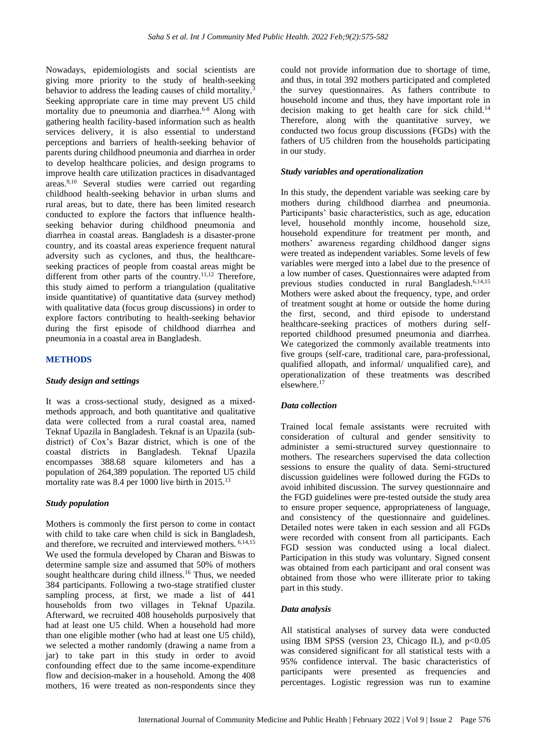Nowadays, epidemiologists and social scientists are giving more priority to the study of health-seeking behavior to address the leading causes of child mortality.<sup>3</sup> Seeking appropriate care in time may prevent U5 child mortality due to pneumonia and diarrhea.<sup>6-8</sup> Along with gathering health facility-based information such as health services delivery, it is also essential to understand perceptions and barriers of health-seeking behavior of parents during childhood pneumonia and diarrhea in order to develop healthcare policies, and design programs to improve health care utilization practices in disadvantaged areas.9,10 Several studies were carried out regarding childhood health-seeking behavior in urban slums and rural areas, but to date, there has been limited research conducted to explore the factors that influence healthseeking behavior during childhood pneumonia and diarrhea in coastal areas. Bangladesh is a disaster-prone country, and its coastal areas experience frequent natural adversity such as cyclones, and thus, the healthcareseeking practices of people from coastal areas might be different from other parts of the country.<sup>11,12</sup> Therefore, this study aimed to perform a triangulation (qualitative inside quantitative) of quantitative data (survey method) with qualitative data (focus group discussions) in order to explore factors contributing to health-seeking behavior during the first episode of childhood diarrhea and pneumonia in a coastal area in Bangladesh.

#### **METHODS**

#### *Study design and settings*

It was a cross-sectional study, designed as a mixedmethods approach, and both quantitative and qualitative data were collected from a rural coastal area, named Teknaf Upazila in Bangladesh. Teknaf is an Upazila (subdistrict) of Cox's Bazar district, which is one of the coastal districts in Bangladesh. Teknaf Upazila encompasses 388.68 square kilometers and has a population of 264,389 population. The reported U5 child mortality rate was 8.4 per 1000 live birth in 2015.<sup>13</sup>

#### *Study population*

Mothers is commonly the first person to come in contact with child to take care when child is sick in Bangladesh, and therefore, we recruited and interviewed mothers. 6,14,15 We used the formula developed by Charan and Biswas to determine sample size and assumed that 50% of mothers sought healthcare during child illness.<sup>16</sup> Thus, we needed 384 participants. Following a two-stage stratified cluster sampling process, at first, we made a list of 441 households from two villages in Teknaf Upazila. Afterward, we recruited 408 households purposively that had at least one U5 child. When a household had more than one eligible mother (who had at least one U5 child), we selected a mother randomly (drawing a name from a jar) to take part in this study in order to avoid confounding effect due to the same income-expenditure flow and decision-maker in a household. Among the 408 mothers, 16 were treated as non-respondents since they

could not provide information due to shortage of time, and thus, in total 392 mothers participated and completed the survey questionnaires. As fathers contribute to household income and thus, they have important role in decision making to get health care for sick child.<sup>14</sup> Therefore, along with the quantitative survey, we conducted two focus group discussions (FGDs) with the fathers of U5 children from the households participating in our study.

#### *Study variables and operationalization*

In this study, the dependent variable was seeking care by mothers during childhood diarrhea and pneumonia. Participants' basic characteristics, such as age, education level, household monthly income, household size, household expenditure for treatment per month, and mothers' awareness regarding childhood danger signs were treated as independent variables. Some levels of few variables were merged into a label due to the presence of a low number of cases. Questionnaires were adapted from previous studies conducted in rural Bangladesh.<sup>6,14,15</sup> Mothers were asked about the frequency, type, and order of treatment sought at home or outside the home during the first, second, and third episode to understand healthcare-seeking practices of mothers during selfreported childhood presumed pneumonia and diarrhea. We categorized the commonly available treatments into five groups (self-care, traditional care, para-professional, qualified allopath, and informal/ unqualified care), and operationalization of these treatments was described elsewhere.<sup>17</sup>

#### *Data collection*

Trained local female assistants were recruited with consideration of cultural and gender sensitivity to administer a semi-structured survey questionnaire to mothers. The researchers supervised the data collection sessions to ensure the quality of data. Semi-structured discussion guidelines were followed during the FGDs to avoid inhibited discussion. The survey questionnaire and the FGD guidelines were pre-tested outside the study area to ensure proper sequence, appropriateness of language, and consistency of the questionnaire and guidelines. Detailed notes were taken in each session and all FGDs were recorded with consent from all participants. Each FGD session was conducted using a local dialect. Participation in this study was voluntary. Signed consent was obtained from each participant and oral consent was obtained from those who were illiterate prior to taking part in this study.

#### *Data analysis*

All statistical analyses of survey data were conducted using IBM SPSS (version 23, Chicago IL), and  $p<0.05$ was considered significant for all statistical tests with a 95% confidence interval. The basic characteristics of participants were presented as frequencies and percentages. Logistic regression was run to examine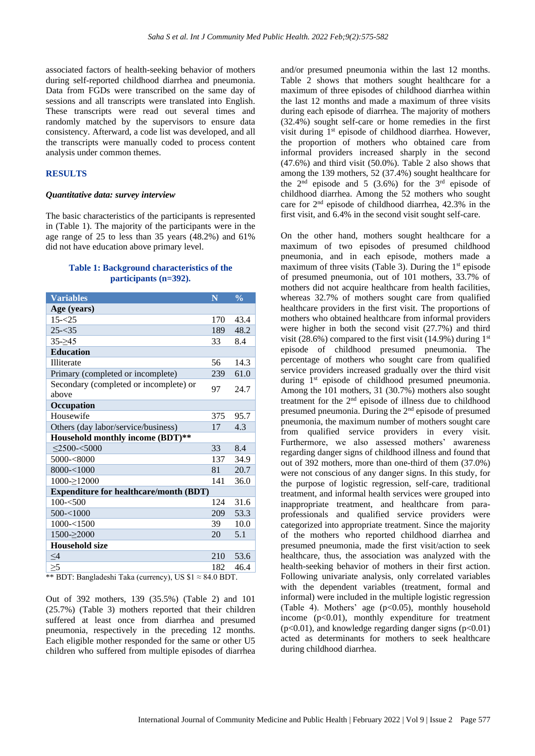associated factors of health-seeking behavior of mothers during self-reported childhood diarrhea and pneumonia. Data from FGDs were transcribed on the same day of sessions and all transcripts were translated into English. These transcripts were read out several times and randomly matched by the supervisors to ensure data consistency. Afterward, a code list was developed, and all the transcripts were manually coded to process content analysis under common themes.

# **RESULTS**

#### *Quantitative data: survey interview*

The basic characteristics of the participants is represented in (Table 1). The majority of the participants were in the age range of 25 to less than 35 years (48.2%) and 61% did not have education above primary level.

## **Table 1: Background characteristics of the participants (n=392).**

| <b>Variables</b>                              | N   | $\frac{0}{0}$ |
|-----------------------------------------------|-----|---------------|
| Age (years)                                   |     |               |
| $15 - 25$                                     | 170 | 43.4          |
| $25 - 35$                                     | 189 | 48.2          |
| $35 - 245$                                    | 33  | 8.4           |
| <b>Education</b>                              |     |               |
| <b>Illiterate</b>                             | 56  | 14.3          |
| Primary (completed or incomplete)             | 239 | 61.0          |
| Secondary (completed or incomplete) or        | 97  | 24.7          |
| above                                         |     |               |
| Occupation                                    |     |               |
| Housewife                                     | 375 | 95.7          |
| Others (day labor/service/business)           | 17  | 4.3           |
| Household monthly income (BDT)**              |     |               |
| $<$ 2500- $<$ 5000                            | 33  | 8.4           |
| $5000 - 8000$                                 | 137 | 34.9          |
| $8000 - 1000$                                 | 81  | 20.7          |
| $1000 \rightarrow 12000$                      | 141 | 36.0          |
| <b>Expenditure for healthcare/month (BDT)</b> |     |               |
| $100 - 500$                                   | 124 | 31.6          |
| $500 - 1000$                                  | 209 | 53.3          |
| $1000 - 1500$                                 | 39  | 10.0          |
| $1500 - 2000$                                 | 20  | 5.1           |
| <b>Household size</b>                         |     |               |
| $\leq 4$                                      | 210 | 53.6          |
| $\geq 5$                                      | 182 | 46.4          |

\*\* BDT: Bangladeshi Taka (currency), US \$1 ≈ 84.0 BDT.

Out of 392 mothers, 139 (35.5%) (Table 2) and 101 (25.7%) (Table 3) mothers reported that their children suffered at least once from diarrhea and presumed pneumonia, respectively in the preceding 12 months. Each eligible mother responded for the same or other U5 children who suffered from multiple episodes of diarrhea

and/or presumed pneumonia within the last 12 months. Table 2 shows that mothers sought healthcare for a maximum of three episodes of childhood diarrhea within the last 12 months and made a maximum of three visits during each episode of diarrhea. The majority of mothers (32.4%) sought self-care or home remedies in the first visit during 1st episode of childhood diarrhea. However, the proportion of mothers who obtained care from informal providers increased sharply in the second (47.6%) and third visit (50.0%). Table 2 also shows that among the 139 mothers, 52 (37.4%) sought healthcare for the  $2^{nd}$  episode and 5 (3.6%) for the  $3^{rd}$  episode of childhood diarrhea. Among the 52 mothers who sought care for 2nd episode of childhood diarrhea, 42.3% in the first visit, and 6.4% in the second visit sought self-care.

On the other hand, mothers sought healthcare for a maximum of two episodes of presumed childhood pneumonia, and in each episode, mothers made a maximum of three visits (Table 3). During the  $1<sup>st</sup>$  episode of presumed pneumonia, out of 101 mothers, 33.7% of mothers did not acquire healthcare from health facilities. whereas 32.7% of mothers sought care from qualified healthcare providers in the first visit. The proportions of mothers who obtained healthcare from informal providers were higher in both the second visit (27.7%) and third visit (28.6%) compared to the first visit (14.9%) during  $1<sup>st</sup>$ episode of childhood presumed pneumonia. The percentage of mothers who sought care from qualified service providers increased gradually over the third visit during 1<sup>st</sup> episode of childhood presumed pneumonia. Among the 101 mothers, 31 (30.7%) mothers also sought treatment for the 2nd episode of illness due to childhood presumed pneumonia. During the 2nd episode of presumed pneumonia, the maximum number of mothers sought care from qualified service providers in every visit. Furthermore, we also assessed mothers' awareness regarding danger signs of childhood illness and found that out of 392 mothers, more than one-third of them (37.0%) were not conscious of any danger signs. In this study, for the purpose of logistic regression, self-care, traditional treatment, and informal health services were grouped into inappropriate treatment, and healthcare from paraprofessionals and qualified service providers were categorized into appropriate treatment. Since the majority of the mothers who reported childhood diarrhea and presumed pneumonia, made the first visit/action to seek healthcare, thus, the association was analyzed with the health-seeking behavior of mothers in their first action. Following univariate analysis, only correlated variables with the dependent variables (treatment, formal and informal) were included in the multiple logistic regression (Table 4). Mothers' age  $(p<0.05)$ , monthly household income  $(p<0.01)$ , monthly expenditure for treatment  $(p<0.01)$ , and knowledge regarding danger signs  $(p<0.01)$ acted as determinants for mothers to seek healthcare during childhood diarrhea.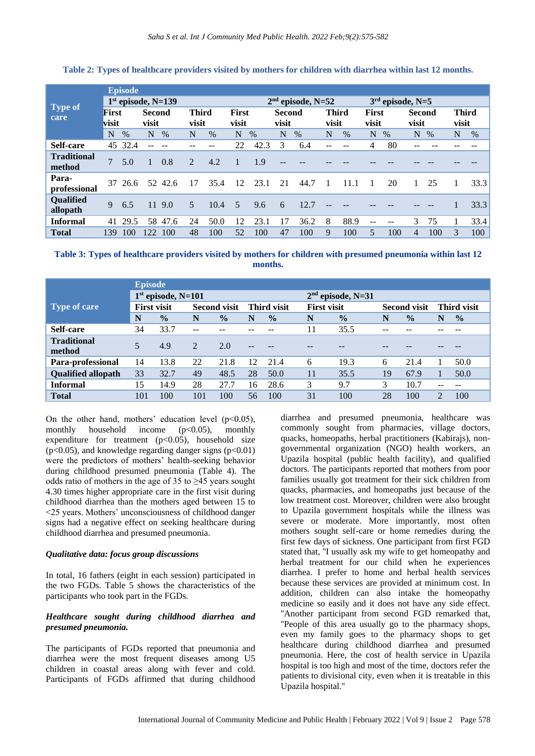|                              |                      | <b>Episode</b> |                        |      |                       |                     |                       |      |                 |      |                       |                    |                       |      |                        |      |                       |      |
|------------------------------|----------------------|----------------|------------------------|------|-----------------------|---------------------|-----------------------|------|-----------------|------|-----------------------|--------------------|-----------------------|------|------------------------|------|-----------------------|------|
|                              | $1st$ episode, N=139 |                |                        |      |                       | $2nd$ episode, N=52 |                       |      |                 |      |                       | $3rd$ episode, N=5 |                       |      |                        |      |                       |      |
| <b>Type of</b><br>care       | First<br>visit       |                | <b>Second</b><br>visit |      | <b>Third</b><br>visit |                     | <b>First</b><br>visit |      | Second<br>visit |      | <b>Third</b><br>visit |                    | <b>First</b><br>visit |      | <b>Second</b><br>visit |      | <b>Third</b><br>visit |      |
|                              | N                    | $\frac{0}{0}$  | N                      | $\%$ | N                     | %                   | N                     | $\%$ | N               | $\%$ | N                     | $\%$               | N                     | $\%$ | N                      | $\%$ | N                     | %    |
| Self-care                    | 45                   | 32.4           |                        |      | --                    |                     | 22                    | 42.3 | 3               | 6.4  | --                    |                    | 4                     | 80   | --                     |      |                       |      |
| <b>Traditional</b><br>method | $\overline{7}$       | 5.0            |                        | 0.8  | $\overline{2}$        | 4.2                 |                       | 1.9  | --              |      |                       |                    |                       |      |                        |      |                       |      |
| Para-<br>professional        | 37                   | 26.6           | 52                     | 42.6 | 17                    | 35.4                | 12                    | 23.1 | 21              | 44.7 |                       | 11.1               |                       | 20   |                        | 25   |                       | 33.3 |
| Qualified<br>allopath        | 9                    | 6.5            | 11                     | 9.0  | 5                     | 10.4                | 5                     | 9.6  | 6               | 12.7 |                       |                    |                       |      |                        |      |                       | 33.3 |
| <b>Informal</b>              | 41                   | 29.5           | 58                     | 47.6 | 24                    | 50.0                | 12                    | 23.1 | 17              | 36.2 | 8                     | 88.9               |                       |      | 3                      | 75   |                       | 33.4 |
| <b>Total</b>                 | 139                  | 100            | 122                    | 100  | 48                    | 100                 | 52                    | 100  | 47              | 100  | 9                     | 100                | 5                     | 100  | 4                      | 100  | 3                     | 100  |

#### **Table 2: Types of healthcare providers visited by mothers for children with diarrhea within last 12 months.**

**Table 3: Types of healthcare providers visited by mothers for children with presumed pneumonia within last 12 months.**

|                           | <b>Episode</b>       |               |                     |               |                    |               |                    |                     |                     |               |                    |               |  |  |
|---------------------------|----------------------|---------------|---------------------|---------------|--------------------|---------------|--------------------|---------------------|---------------------|---------------|--------------------|---------------|--|--|
|                           | $1st$ episode, N=101 |               |                     |               |                    |               |                    | $2nd$ episode, N=31 |                     |               |                    |               |  |  |
| Type of care              | <b>First visit</b>   |               | <b>Second visit</b> |               | <b>Third visit</b> |               | <b>First visit</b> |                     | <b>Second visit</b> |               | <b>Third visit</b> |               |  |  |
|                           | N                    | $\frac{0}{0}$ | N                   | $\frac{0}{0}$ | N                  | $\frac{0}{0}$ | N                  | $\frac{0}{0}$       | N                   | $\frac{0}{0}$ | N                  | $\frac{0}{0}$ |  |  |
| Self-care                 | 34                   | 33.7          | --                  |               |                    |               | 11                 | 35.5                |                     |               |                    |               |  |  |
| <b>Traditional</b>        | 5                    | 4.9           | 2                   | 2.0           |                    |               |                    |                     |                     |               |                    |               |  |  |
| method                    |                      |               |                     |               | $- -$              |               |                    |                     |                     |               |                    |               |  |  |
| Para-professional         | 14                   | 13.8          | 22                  | 21.8          | 12                 | 21.4          | 6                  | 19.3                | 6                   | 21.4          |                    | 50.0          |  |  |
| <b>Qualified allopath</b> | 33                   | 32.7          | 49                  | 48.5          | 28                 | 50.0          | 11                 | 35.5                | 19                  | 67.9          |                    | 50.0          |  |  |
| <b>Informal</b>           | 15                   | 14.9          | 28                  | 27.7          | 16                 | 28.6          | 3                  | 9.7                 | 3                   | 10.7          |                    |               |  |  |
| <b>Total</b>              | 101                  | 100           | 101                 | 100           | 56                 | 100           | 31                 | 100                 | 28                  | 100           | $\overline{2}$     | 100           |  |  |

On the other hand, mothers' education level ( $p<0.05$ ), monthly household income  $(p<0.05)$ , monthly expenditure for treatment  $(p<0.05)$ , household size  $(p<0.05)$ , and knowledge regarding danger signs  $(p<0.01)$ were the predictors of mothers' health-seeking behavior during childhood presumed pneumonia (Table 4). The odds ratio of mothers in the age of 35 to ≥45 years sought 4.30 times higher appropriate care in the first visit during childhood diarrhea than the mothers aged between 15 to <25 years. Mothers' unconsciousness of childhood danger signs had a negative effect on seeking healthcare during childhood diarrhea and presumed pneumonia.

#### *Qualitative data: focus group discussions*

In total, 16 fathers (eight in each session) participated in the two FGDs. Table 5 shows the characteristics of the participants who took part in the FGDs.

# *Healthcare sought during childhood diarrhea and presumed pneumonia.*

The participants of FGDs reported that pneumonia and diarrhea were the most frequent diseases among U5 children in coastal areas along with fever and cold. Participants of FGDs affirmed that during childhood

diarrhea and presumed pneumonia, healthcare was commonly sought from pharmacies, village doctors, quacks, homeopaths, herbal practitioners (Kabirajs), nongovernmental organization (NGO) health workers, an Upazila hospital (public health facility), and qualified doctors. The participants reported that mothers from poor families usually got treatment for their sick children from quacks, pharmacies, and homeopaths just because of the low treatment cost. Moreover, children were also brought to Upazila government hospitals while the illness was severe or moderate. More importantly, most often mothers sought self-care or home remedies during the first few days of sickness. One participant from first FGD stated that, ''I usually ask my wife to get homeopathy and herbal treatment for our child when he experiences diarrhea. I prefer to home and herbal health services because these services are provided at minimum cost. In addition, children can also intake the homeopathy medicine so easily and it does not have any side effect. ''Another participant from second FGD remarked that, ''People of this area usually go to the pharmacy shops, even my family goes to the pharmacy shops to get healthcare during childhood diarrhea and presumed pneumonia. Here, the cost of health service in Upazila hospital is too high and most of the time, doctors refer the patients to divisional city, even when it is treatable in this Upazila hospital.''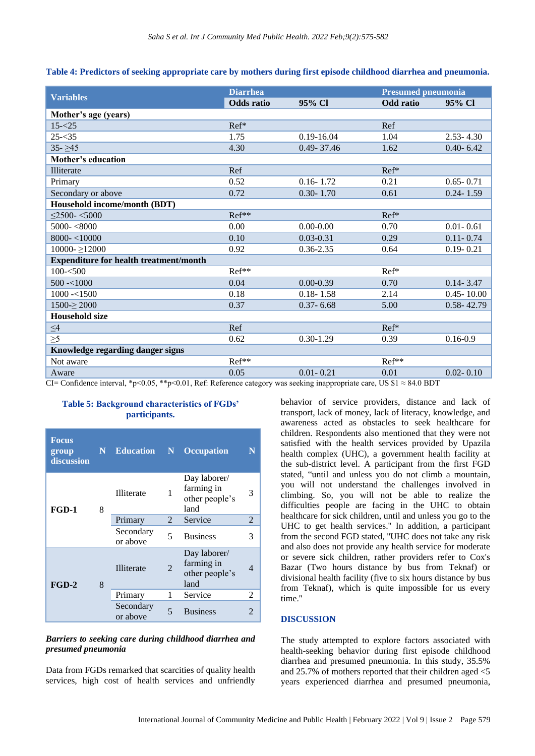| Table 4: Predictors of seeking appropriate care by mothers during first episode childhood diarrhea and pneumonia. |  |  |  |
|-------------------------------------------------------------------------------------------------------------------|--|--|--|
|-------------------------------------------------------------------------------------------------------------------|--|--|--|

|                                                                           | <b>Diarrhea</b>   |                | <b>Presumed pneumonia</b>         |                |  |  |
|---------------------------------------------------------------------------|-------------------|----------------|-----------------------------------|----------------|--|--|
| <b>Variables</b>                                                          | <b>Odds</b> ratio | 95% CI         | <b>Odd</b> ratio                  | 95% Cl         |  |  |
| Mother's age (years)                                                      |                   |                |                                   |                |  |  |
| $15 - 25$                                                                 | Ref*              |                | Ref                               |                |  |  |
| $25 - 35$                                                                 | 1.75              | $0.19 - 16.04$ | 1.04                              | $2.53 - 4.30$  |  |  |
| $35 - 245$                                                                | 4.30              | 0.49-37.46     | 1.62                              | $0.40 - 6.42$  |  |  |
| Mother's education                                                        |                   |                |                                   |                |  |  |
| Illiterate                                                                | Ref               |                | Ref*                              |                |  |  |
| Primary                                                                   | 0.52              | $0.16 - 1.72$  | 0.21                              | $0.65 - 0.71$  |  |  |
| Secondary or above                                                        | 0.72              | $0.30 - 1.70$  | 0.61                              | $0.24 - 1.59$  |  |  |
| Household income/month (BDT)                                              |                   |                |                                   |                |  |  |
| $\leq$ 2500- $<$ 5000                                                     | Ref**             |                | Ref*                              |                |  |  |
| $5000 - 8000$                                                             | 0.00              | $0.00 - 0.00$  | 0.70                              | $0.01 - 0.61$  |  |  |
| $8000 - <10000$                                                           | 0.10              | $0.03 - 0.31$  | 0.29                              | $0.11 - 0.74$  |  |  |
| $10000 - \ge 12000$                                                       | 0.92              | $0.36 - 2.35$  | 0.64                              | $0.19 - 0.21$  |  |  |
| <b>Expenditure for health treatment/month</b>                             |                   |                |                                   |                |  |  |
| $100 - 500$                                                               | Ref**             |                | Ref*                              |                |  |  |
| $500 - 1000$                                                              | 0.04              | $0.00 - 0.39$  | 0.70                              | $0.14 - 3.47$  |  |  |
| $1000 - 1500$                                                             | 0.18              | $0.18 - 1.58$  | 2.14                              | $0.45 - 10.00$ |  |  |
| $1500 \ge 2000$                                                           | 0.37              | $0.37 - 6.68$  | 5.00                              | $0.58 - 42.79$ |  |  |
| <b>Household size</b>                                                     |                   |                |                                   |                |  |  |
| $\leq4$                                                                   | Ref               |                | $Ref*$                            |                |  |  |
| $\geq 5$                                                                  | 0.62              | $0.30 - 1.29$  | 0.39                              | $0.16 - 0.9$   |  |  |
| Knowledge regarding danger signs                                          |                   |                |                                   |                |  |  |
| Not aware                                                                 | Ref**             |                | Ref <sup>**</sup>                 |                |  |  |
| Aware<br>$C1$ $C1$ $C1$ $C2$ $C3$ $C4$ $C5$ $C7$ $C8$ $C1$ $C1$ $C1$ $C1$ | 0.05              | $0.01 - 0.21$  | 0.01<br>$TTC$ $A1 - QA$ $A$ $DDT$ | $0.02 - 0.10$  |  |  |

CI= Confidence interval, \*p<0.05, \*\*p<0.01, Ref: Reference category was seeking inappropriate care, US  $$1 \approx 84.0$  BDT

#### **Table 5: Background characteristics of FGDs' participants.**

| <b>Focus</b><br>group<br>discussion | $\mathbf{N}$ | <b>Education</b>      | N              | <b>Occupation</b>                                    | N |
|-------------------------------------|--------------|-----------------------|----------------|------------------------------------------------------|---|
| FGD-1                               | 8            | <b>Illiterate</b>     | 1              | Day laborer/<br>farming in<br>other people's<br>land | 3 |
|                                     |              | Primary               | $2^{\circ}$    | Service                                              | 2 |
|                                     |              | Secondary<br>or above | 5              | <b>Business</b>                                      | 3 |
| $FGD-2$                             | 8            | <b>Illiterate</b>     | $\mathfrak{D}$ | Day laborer/<br>farming in<br>other people's<br>land | 4 |
|                                     |              | Primary               | 1              | Service                                              | 2 |
|                                     |              | Secondary<br>or above | 5              | <b>Business</b>                                      | 2 |

# *Barriers to seeking care during childhood diarrhea and presumed pneumonia*

Data from FGDs remarked that scarcities of quality health services, high cost of health services and unfriendly behavior of service providers, distance and lack of transport, lack of money, lack of literacy, knowledge, and awareness acted as obstacles to seek healthcare for children. Respondents also mentioned that they were not satisfied with the health services provided by Upazila health complex (UHC), a government health facility at the sub-district level. A participant from the first FGD stated, "until and unless you do not climb a mountain, you will not understand the challenges involved in climbing. So, you will not be able to realize the difficulties people are facing in the UHC to obtain healthcare for sick children, until and unless you go to the UHC to get health services.'' In addition, a participant from the second FGD stated, ''UHC does not take any risk and also does not provide any health service for moderate or severe sick children, rather providers refer to Cox's Bazar (Two hours distance by bus from Teknaf) or divisional health facility (five to six hours distance by bus from Teknaf), which is quite impossible for us every time.''

# **DISCUSSION**

The study attempted to explore factors associated with health-seeking behavior during first episode childhood diarrhea and presumed pneumonia. In this study, 35.5% and 25.7% of mothers reported that their children aged <5 years experienced diarrhea and presumed pneumonia,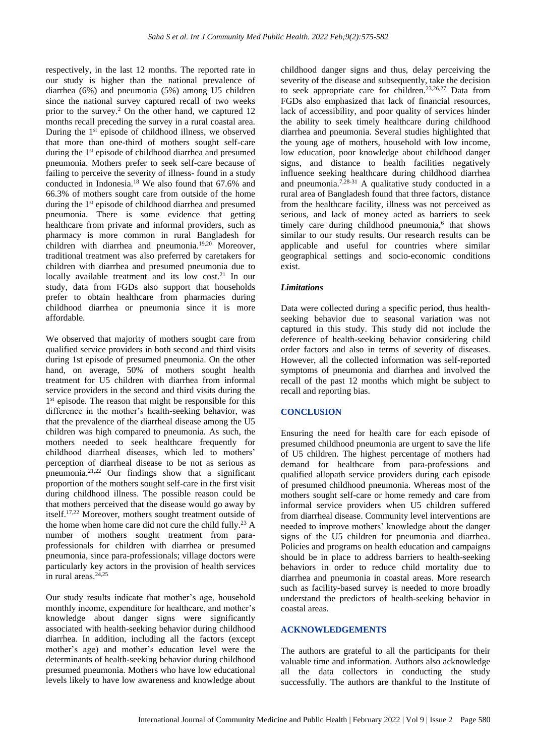respectively, in the last 12 months. The reported rate in our study is higher than the national prevalence of diarrhea (6%) and pneumonia (5%) among U5 children since the national survey captured recall of two weeks prior to the survey.<sup>2</sup> On the other hand, we captured 12 months recall preceding the survey in a rural coastal area. During the 1<sup>st</sup> episode of childhood illness, we observed that more than one-third of mothers sought self-care during the 1<sup>st</sup> episode of childhood diarrhea and presumed pneumonia. Mothers prefer to seek self-care because of failing to perceive the severity of illness- found in a study conducted in Indonesia.<sup>18</sup> We also found that 67.6% and 66.3% of mothers sought care from outside of the home during the 1st episode of childhood diarrhea and presumed pneumonia. There is some evidence that getting healthcare from private and informal providers, such as pharmacy is more common in rural Bangladesh for children with diarrhea and pneumonia.<sup>19,20</sup> Moreover, traditional treatment was also preferred by caretakers for children with diarrhea and presumed pneumonia due to locally available treatment and its low cost.<sup>21</sup> In our study, data from FGDs also support that households prefer to obtain healthcare from pharmacies during childhood diarrhea or pneumonia since it is more affordable.

We observed that majority of mothers sought care from qualified service providers in both second and third visits during 1st episode of presumed pneumonia. On the other hand, on average, 50% of mothers sought health treatment for U5 children with diarrhea from informal service providers in the second and third visits during the 1<sup>st</sup> episode. The reason that might be responsible for this difference in the mother's health-seeking behavior, was that the prevalence of the diarrheal disease among the U5 children was high compared to pneumonia. As such, the mothers needed to seek healthcare frequently for childhood diarrheal diseases, which led to mothers' perception of diarrheal disease to be not as serious as pneumonia. $2^{1,22}$  Our findings show that a significant proportion of the mothers sought self-care in the first visit during childhood illness. The possible reason could be that mothers perceived that the disease would go away by itself.17,22 Moreover, mothers sought treatment outside of the home when home care did not cure the child fully.<sup>23</sup> A number of mothers sought treatment from paraprofessionals for children with diarrhea or presumed pneumonia, since para-professionals; village doctors were particularly key actors in the provision of health services  $\overline{\text{in}}$  rural areas.<sup>24,25</sup>

Our study results indicate that mother's age, household monthly income, expenditure for healthcare, and mother's knowledge about danger signs were significantly associated with health-seeking behavior during childhood diarrhea. In addition, including all the factors (except mother's age) and mother's education level were the determinants of health-seeking behavior during childhood presumed pneumonia. Mothers who have low educational levels likely to have low awareness and knowledge about

childhood danger signs and thus, delay perceiving the severity of the disease and subsequently, take the decision to seek appropriate care for children.<sup>23,26,27</sup> Data from FGDs also emphasized that lack of financial resources, lack of accessibility, and poor quality of services hinder the ability to seek timely healthcare during childhood diarrhea and pneumonia. Several studies highlighted that the young age of mothers, household with low income, low education, poor knowledge about childhood danger signs, and distance to health facilities negatively influence seeking healthcare during childhood diarrhea and pneumonia.<sup>7,28-31</sup> A qualitative study conducted in a rural area of Bangladesh found that three factors, distance from the healthcare facility, illness was not perceived as serious, and lack of money acted as barriers to seek timely care during childhood pneumonia,<sup>6</sup> that shows similar to our study results. Our research results can be applicable and useful for countries where similar geographical settings and socio-economic conditions exist.

#### *Limitations*

Data were collected during a specific period, thus healthseeking behavior due to seasonal variation was not captured in this study. This study did not include the deference of health-seeking behavior considering child order factors and also in terms of severity of diseases. However, all the collected information was self-reported symptoms of pneumonia and diarrhea and involved the recall of the past 12 months which might be subject to recall and reporting bias.

#### **CONCLUSION**

Ensuring the need for health care for each episode of presumed childhood pneumonia are urgent to save the life of U5 children. The highest percentage of mothers had demand for healthcare from para-professions and qualified allopath service providers during each episode of presumed childhood pneumonia. Whereas most of the mothers sought self-care or home remedy and care from informal service providers when U5 children suffered from diarrheal disease. Community level interventions are needed to improve mothers' knowledge about the danger signs of the U5 children for pneumonia and diarrhea. Policies and programs on health education and campaigns should be in place to address barriers to health-seeking behaviors in order to reduce child mortality due to diarrhea and pneumonia in coastal areas. More research such as facility-based survey is needed to more broadly understand the predictors of health-seeking behavior in coastal areas.

#### **ACKNOWLEDGEMENTS**

The authors are grateful to all the participants for their valuable time and information. Authors also acknowledge all the data collectors in conducting the study successfully. The authors are thankful to the Institute of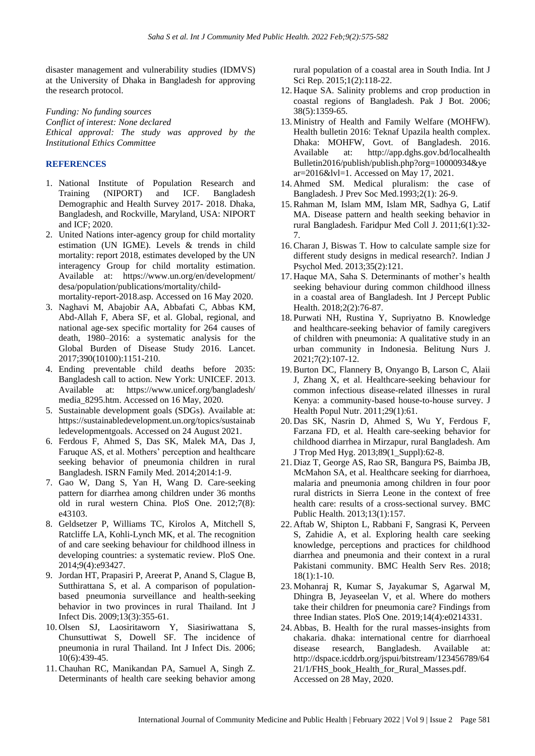disaster management and vulnerability studies (IDMVS) at the University of Dhaka in Bangladesh for approving the research protocol.

*Funding: No funding sources Conflict of interest: None declared Ethical approval: The study was approved by the Institutional Ethics Committee*

# **REFERENCES**

- 1. National Institute of Population Research and Training (NIPORT) and ICF. Bangladesh Demographic and Health Survey 2017- 2018. Dhaka, Bangladesh, and Rockville, Maryland, USA: NIPORT and ICF; 2020.
- 2. United Nations inter-agency group for child mortality estimation (UN IGME). Levels & trends in child mortality: report 2018, estimates developed by the UN interagency Group for child mortality estimation. Available at: <https://www.un.org/en/development/> desa/population/publications/mortality/childmortality-report-2018.asp. Accessed on 16 May 2020.
- 3. Naghavi M, Abajobir AA, Abbafati C, Abbas KM, Abd-Allah F, Abera SF, et al. Global, regional, and national age-sex specific mortality for 264 causes of death, 1980–2016: a systematic analysis for the Global Burden of Disease Study 2016. Lancet. 2017;390(10100):1151-210.
- 4. Ending preventable child deaths before 2035: Bangladesh call to action. New York: UNICEF. 2013. Available at: [https://www.unicef.org/bangladesh/](https://www.unicef.org/bangladesh/%20media_8295.htm)  [media\\_8295.htm.](https://www.unicef.org/bangladesh/%20media_8295.htm) Accessed on 16 May, 2020.
- 5. Sustainable development goals (SDGs). Available at: [https://sustainabledevelopment.un.org/topics/sustainab](https://sustainabledevelopment.un.org/topics/sustainabledevelopmentgoals) [ledevelopmentgoals.](https://sustainabledevelopment.un.org/topics/sustainabledevelopmentgoals) Accessed on 24 August 2021.
- 6. Ferdous F, Ahmed S, Das SK, Malek MA, Das J, Faruque AS, et al. Mothers' perception and healthcare seeking behavior of pneumonia children in rural Bangladesh. ISRN Family Med. 2014;2014:1-9.
- 7. Gao W, Dang S, Yan H, Wang D. Care-seeking pattern for diarrhea among children under 36 months old in rural western China. PloS One. 2012;7(8): e43103.
- 8. Geldsetzer P, Williams TC, Kirolos A, Mitchell S, Ratcliffe LA, Kohli-Lynch MK, et al. The recognition of and care seeking behaviour for childhood illness in developing countries: a systematic review. PloS One. 2014;9(4):e93427.
- 9. Jordan HT, Prapasiri P, Areerat P, Anand S, Clague B, Sutthirattana S, et al. A comparison of populationbased pneumonia surveillance and health-seeking behavior in two provinces in rural Thailand. Int J Infect Dis. 2009;13(3):355-61.
- 10. Olsen SJ, Laosiritaworn Y, Siasiriwattana S, Chunsuttiwat S, Dowell SF. The incidence of pneumonia in rural Thailand. Int J Infect Dis. 2006; 10(6):439-45.
- 11. Chauhan RC, Manikandan PA, Samuel A, Singh Z. Determinants of health care seeking behavior among

rural population of a coastal area in South India. Int J Sci Rep. 2015;1(2):118-22.

- 12. Haque SA. Salinity problems and crop production in coastal regions of Bangladesh. Pak J Bot. 2006; 38(5):1359-65.
- 13. Ministry of Health and Family Welfare (MOHFW). Health bulletin 2016: Teknaf Upazila health complex. Dhaka: MOHFW, Govt. of Bangladesh. 2016. Available at: [http://app.dghs.gov.bd/localhealth](http://app.dghs.gov.bd/localhealth%20Bulletin2016/publish/publish.php?org=10000934&year=2016&lvl=1)  [Bulletin2016/publish/publish.php?org=10000934&ye](http://app.dghs.gov.bd/localhealth%20Bulletin2016/publish/publish.php?org=10000934&year=2016&lvl=1) [ar=2016&lvl=1.](http://app.dghs.gov.bd/localhealth%20Bulletin2016/publish/publish.php?org=10000934&year=2016&lvl=1) Accessed on May 17, 2021.
- 14. Ahmed SM. Medical pluralism: the case of Bangladesh. J Prev Soc Med.1993;2(1): 26-9.
- 15. Rahman M, Islam MM, Islam MR, Sadhya G, Latif MA. Disease pattern and health seeking behavior in rural Bangladesh. Faridpur Med Coll J. 2011;6(1):32- 7.
- 16. Charan J, Biswas T. How to calculate sample size for different study designs in medical research?. Indian J Psychol Med. 2013;35(2):121.
- 17. Haque MA, Saha S. Determinants of mother's health seeking behaviour during common childhood illness in a coastal area of Bangladesh. Int J Percept Public Health. 2018;2(2):76-87.
- 18. Purwati NH, Rustina Y, Supriyatno B. Knowledge and healthcare-seeking behavior of family caregivers of children with pneumonia: A qualitative study in an urban community in Indonesia. Belitung Nurs J. 2021;7(2):107-12.
- 19. Burton DC, Flannery B, Onyango B, Larson C, Alaii J, Zhang X, et al. Healthcare-seeking behaviour for common infectious disease-related illnesses in rural Kenya: a community-based house-to-house survey. J Health Popul Nutr. 2011;29(1):61.
- 20. Das SK, Nasrin D, Ahmed S, Wu Y, Ferdous F, Farzana FD, et al. Health care-seeking behavior for childhood diarrhea in Mirzapur, rural Bangladesh. Am J Trop Med Hyg. 2013;89(1\_Suppl):62-8.
- 21. Diaz T, George AS, Rao SR, Bangura PS, Baimba JB, McMahon SA, et al. Healthcare seeking for diarrhoea, malaria and pneumonia among children in four poor rural districts in Sierra Leone in the context of free health care: results of a cross-sectional survey. BMC Public Health. 2013;13(1):157.
- 22. Aftab W, Shipton L, Rabbani F, Sangrasi K, Perveen S, Zahidie A, et al. Exploring health care seeking knowledge, perceptions and practices for childhood diarrhea and pneumonia and their context in a rural Pakistani community. BMC Health Serv Res. 2018; 18(1):1-10.
- 23. Mohanraj R, Kumar S, Jayakumar S, Agarwal M, Dhingra B, Jeyaseelan V, et al. Where do mothers take their children for pneumonia care? Findings from three Indian states. PloS One. 2019;14(4):e0214331.
- 24. Abbas, B. Health for the rural masses-insights from chakaria. dhaka: international centre for diarrhoeal disease research, Bangladesh. Available at: [http://dspace.icddrb.org/jspui/bitstream/123456789/64](http://dspace.icddrb.org/jspui/bitstream/123456789/6421/1/FHS_book_Health_for_Rural_Masses.pdf) [21/1/FHS\\_book\\_Health\\_for\\_Rural\\_Masses.pdf.](http://dspace.icddrb.org/jspui/bitstream/123456789/6421/1/FHS_book_Health_for_Rural_Masses.pdf) Accessed on 28 May, 2020.